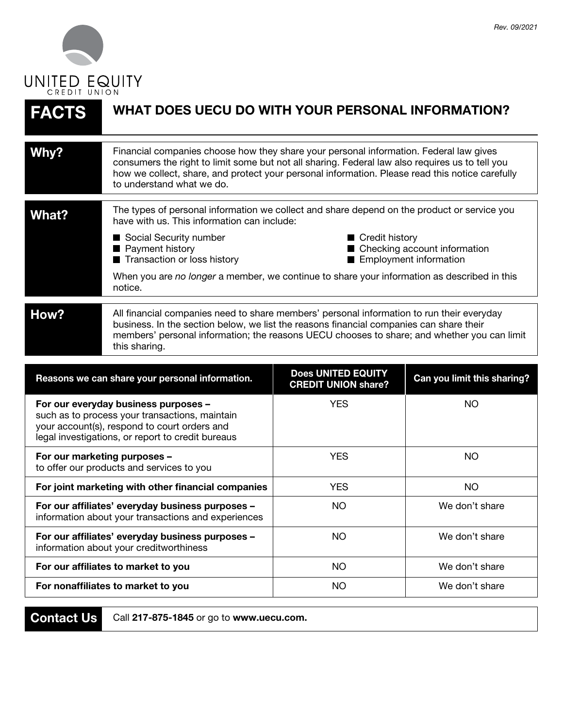

| <b>FACTS</b>                                                                                                                                                                                | WHAT DOES UECU DO WITH YOUR PERSONAL INFORMATION?                                                                                                                                                                                                                                                                         |                                                         |                                                          |
|---------------------------------------------------------------------------------------------------------------------------------------------------------------------------------------------|---------------------------------------------------------------------------------------------------------------------------------------------------------------------------------------------------------------------------------------------------------------------------------------------------------------------------|---------------------------------------------------------|----------------------------------------------------------|
| Why?                                                                                                                                                                                        | Financial companies choose how they share your personal information. Federal law gives<br>consumers the right to limit some but not all sharing. Federal law also requires us to tell you<br>how we collect, share, and protect your personal information. Please read this notice carefully<br>to understand what we do. |                                                         |                                                          |
| <b>What?</b>                                                                                                                                                                                | The types of personal information we collect and share depend on the product or service you<br>have with us. This information can include:                                                                                                                                                                                |                                                         |                                                          |
|                                                                                                                                                                                             | Social Security number<br>Payment history<br>Transaction or loss history                                                                                                                                                                                                                                                  | Credit history                                          | ■ Checking account information<br>Employment information |
|                                                                                                                                                                                             | When you are no longer a member, we continue to share your information as described in this<br>notice.                                                                                                                                                                                                                    |                                                         |                                                          |
| How?                                                                                                                                                                                        | All financial companies need to share members' personal information to run their everyday<br>business. In the section below, we list the reasons financial companies can share their<br>members' personal information; the reasons UECU chooses to share; and whether you can limit<br>this sharing.                      |                                                         |                                                          |
| Reasons we can share your personal information.                                                                                                                                             |                                                                                                                                                                                                                                                                                                                           | <b>Does UNITED EQUITY</b><br><b>CREDIT UNION share?</b> | Can you limit this sharing?                              |
| For our everyday business purposes -<br>such as to process your transactions, maintain<br>your account(s), respond to court orders and<br>legal investigations, or report to credit bureaus |                                                                                                                                                                                                                                                                                                                           | <b>YES</b>                                              | <b>NO</b>                                                |
| For our marketing purposes -<br>to offer our products and services to you                                                                                                                   |                                                                                                                                                                                                                                                                                                                           | <b>YES</b>                                              | <b>NO</b>                                                |
| For joint marketing with other financial companies                                                                                                                                          |                                                                                                                                                                                                                                                                                                                           | <b>YES</b>                                              | <b>NO</b>                                                |
| For our affiliates' everyday business purposes<br>information about your transactions and experiences                                                                                       |                                                                                                                                                                                                                                                                                                                           | <b>NO</b>                                               | We don't share                                           |
| For our affiliates' everyday business purposes -<br>information about your creditworthiness                                                                                                 |                                                                                                                                                                                                                                                                                                                           | <b>NO</b>                                               | We don't share                                           |
| For our affiliates to market to you                                                                                                                                                         |                                                                                                                                                                                                                                                                                                                           | <b>NO</b>                                               | We don't share                                           |
| For nonaffiliates to market to you                                                                                                                                                          |                                                                                                                                                                                                                                                                                                                           | <b>NO</b>                                               | We don't share                                           |

**Contact Us**

Call **217-875-1845** or go to **www.uecu.com.**